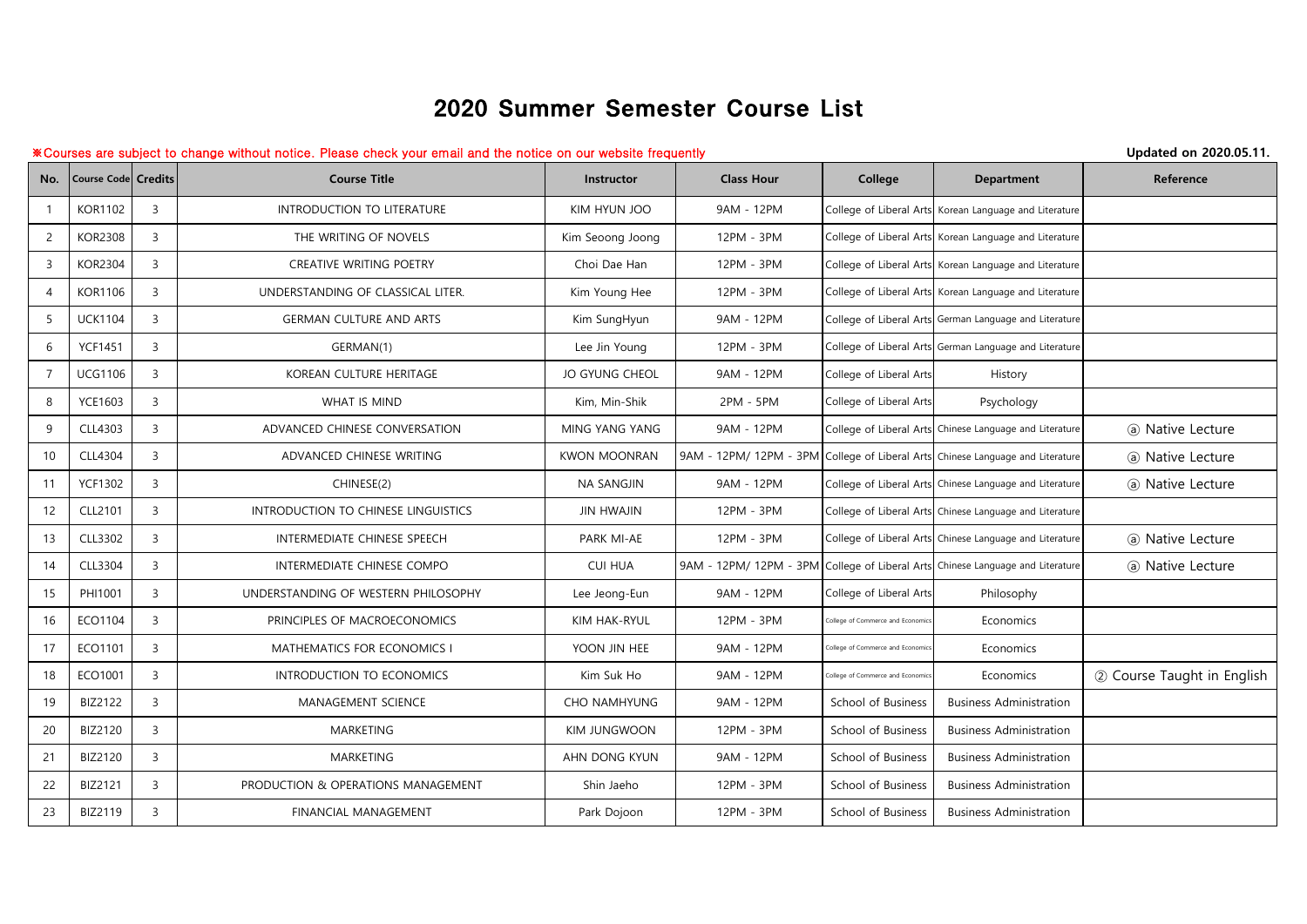## 2020 Summer Semester Course List

## ※Courses are subject to change without notice. Please check your email and the notice on our website frequently **Updated on 2020.05.11.**

| No.            | <b>Course Code Credits</b> |                | <b>Course Title</b>                 | Instructor          | <b>Class Hour</b> | College                          | <b>Department</b>                                                              | Reference                  |
|----------------|----------------------------|----------------|-------------------------------------|---------------------|-------------------|----------------------------------|--------------------------------------------------------------------------------|----------------------------|
| -1             | <b>KOR1102</b>             | $\overline{3}$ | <b>INTRODUCTION TO LITERATURE</b>   | KIM HYUN JOO        | 9AM - 12PM        | College of Liberal Arts          | Korean Language and Literature                                                 |                            |
| $\overline{2}$ | <b>KOR2308</b>             | $\overline{3}$ | THE WRITING OF NOVELS               | Kim Seoong Joong    | 12PM - 3PM        | College of Liberal Arts          | Korean Language and Literature                                                 |                            |
| 3              | <b>KOR2304</b>             | $\overline{3}$ | CREATIVE WRITING POETRY             | Choi Dae Han        | 12PM - 3PM        |                                  | College of Liberal Arts Korean Language and Literature                         |                            |
| $\overline{4}$ | <b>KOR1106</b>             | $\overline{3}$ | UNDERSTANDING OF CLASSICAL LITER.   | Kim Young Hee       | 12PM - 3PM        |                                  | College of Liberal Arts Korean Language and Literature                         |                            |
| 5              | <b>UCK1104</b>             | $\overline{3}$ | <b>GERMAN CULTURE AND ARTS</b>      | Kim SungHyun        | 9AM - 12PM        |                                  | College of Liberal Arts German Language and Literature                         |                            |
| 6              | <b>YCF1451</b>             | $\overline{3}$ | GERMAN(1)                           | Lee Jin Young       | 12PM - 3PM        |                                  | College of Liberal Arts German Language and Literature                         |                            |
| $\overline{7}$ | <b>UCG1106</b>             | $\overline{3}$ | KOREAN CULTURE HERITAGE             | JO GYUNG CHEOL      | 9AM - 12PM        | College of Liberal Arts          | History                                                                        |                            |
| 8              | <b>YCE1603</b>             | $\overline{3}$ | <b>WHAT IS MIND</b>                 | Kim, Min-Shik       | 2PM - 5PM         | College of Liberal Arts          | Psychology                                                                     |                            |
| 9              | CLL4303                    | $\overline{3}$ | ADVANCED CHINESE CONVERSATION       | MING YANG YANG      | 9AM - 12PM        | College of Liberal Arts          | Chinese Language and Literature                                                | (a) Native Lecture         |
| 10             | CLL4304                    | $\overline{3}$ | ADVANCED CHINESE WRITING            | <b>KWON MOONRAN</b> |                   |                                  | 9AM - 12PM/ 12PM - 3PM College of Liberal Arts Chinese Language and Literature | (a) Native Lecture         |
| 11             | <b>YCF1302</b>             | $\overline{3}$ | CHINESE(2)                          | NA SANGJIN          | 9AM - 12PM        |                                  | College of Liberal Arts Chinese Language and Literature                        | (a) Native Lecture         |
| 12             | <b>CLL2101</b>             | 3              | INTRODUCTION TO CHINESE LINGUISTICS | <b>JIN HWAJIN</b>   | 12PM - 3PM        |                                  | College of Liberal Arts Chinese Language and Literature                        |                            |
| 13             | CLL3302                    | $\overline{3}$ | INTERMEDIATE CHINESE SPEECH         | PARK MI-AE          | 12PM - 3PM        |                                  | College of Liberal Arts Chinese Language and Literature                        | (a) Native Lecture         |
| 14             | CLL3304                    | $\overline{3}$ | INTERMEDIATE CHINESE COMPO          | <b>CUI HUA</b>      |                   |                                  | 9AM - 12PM/ 12PM - 3PM College of Liberal Arts Chinese Language and Literature | (a) Native Lecture         |
| 15             | PHI1001                    | $\overline{3}$ | UNDERSTANDING OF WESTERN PHILOSOPHY | Lee Jeong-Eun       | 9AM - 12PM        | College of Liberal Arts          | Philosophy                                                                     |                            |
| 16             | ECO1104                    | $\overline{3}$ | PRINCIPLES OF MACROECONOMICS        | KIM HAK-RYUL        | 12PM - 3PM        | College of Commerce and Economic | Economics                                                                      |                            |
| 17             | ECO1101                    | $\overline{3}$ | MATHEMATICS FOR ECONOMICS I         | YOON JIN HEE        | 9AM - 12PM        | College of Commerce and Economic | Economics                                                                      |                            |
| 18             | ECO1001                    | $\overline{3}$ | INTRODUCTION TO ECONOMICS           | Kim Suk Ho          | 9AM - 12PM        | College of Commerce and Economic | Economics                                                                      | 2 Course Taught in English |
| 19             | <b>BIZ2122</b>             | $\overline{3}$ | <b>MANAGEMENT SCIENCE</b>           | <b>CHO NAMHYUNG</b> | 9AM - 12PM        | School of Business               | <b>Business Administration</b>                                                 |                            |
| 20             | BIZ2120                    | $\overline{3}$ | MARKETING                           | KIM JUNGWOON        | 12PM - 3PM        | School of Business               | <b>Business Administration</b>                                                 |                            |
| 21             | <b>BIZ2120</b>             | 3              | MARKETING                           | AHN DONG KYUN       | 9AM - 12PM        | School of Business               | <b>Business Administration</b>                                                 |                            |
| 22             | BIZ2121                    | $\overline{3}$ | PRODUCTION & OPERATIONS MANAGEMENT  | Shin Jaeho          | 12PM - 3PM        | School of Business               | <b>Business Administration</b>                                                 |                            |
| 23             | BIZ2119                    | $\overline{3}$ | <b>FINANCIAL MANAGEMENT</b>         | Park Dojoon         | 12PM - 3PM        | School of Business               | <b>Business Administration</b>                                                 |                            |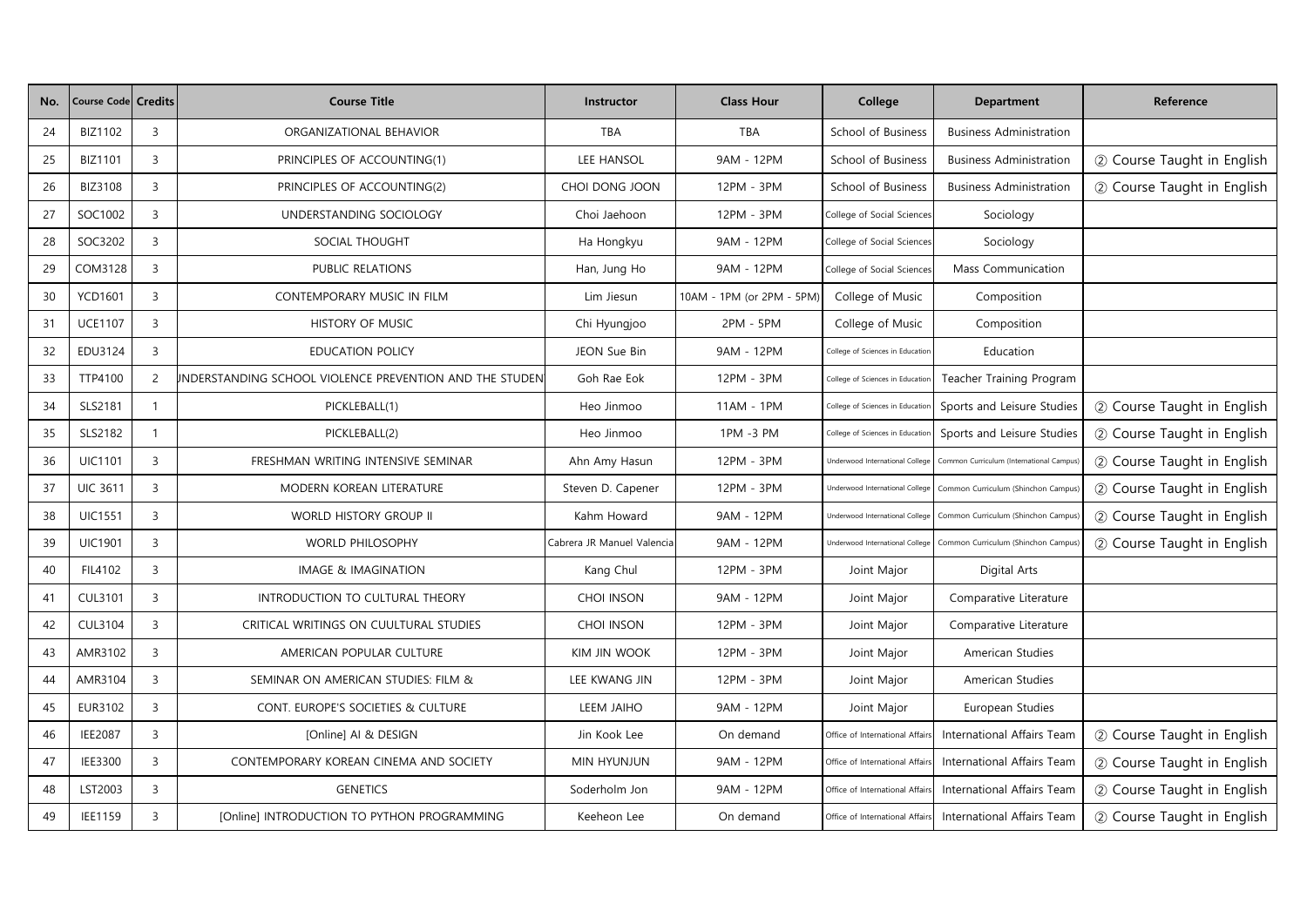| No. | Course Code Credits |                | <b>Course Title</b>                                     | <b>Instructor</b>          | <b>Class Hour</b>         | College                          | <b>Department</b>                        | Reference                  |
|-----|---------------------|----------------|---------------------------------------------------------|----------------------------|---------------------------|----------------------------------|------------------------------------------|----------------------------|
| 24  | BIZ1102             | 3              | ORGANIZATIONAL BEHAVIOR                                 | <b>TBA</b>                 | TBA                       | School of Business               | <b>Business Administration</b>           |                            |
| 25  | <b>BIZ1101</b>      | $\overline{3}$ | PRINCIPLES OF ACCOUNTING(1)                             | LEE HANSOL                 | 9AM - 12PM                | School of Business               | <b>Business Administration</b>           | 2 Course Taught in English |
| 26  | <b>BIZ3108</b>      | 3              | PRINCIPLES OF ACCOUNTING(2)                             | CHOI DONG JOON             | 12PM - 3PM                | School of Business               | <b>Business Administration</b>           | 2 Course Taught in English |
| 27  | SOC1002             | 3              | UNDERSTANDING SOCIOLOGY                                 | Choi Jaehoon               | 12PM - 3PM                | College of Social Sciences       | Sociology                                |                            |
| 28  | SOC3202             | $\mathbf{3}$   | SOCIAL THOUGHT                                          | Ha Hongkyu                 | 9AM - 12PM                | College of Social Sciences       | Sociology                                |                            |
| 29  | COM3128             | $\overline{3}$ | PUBLIC RELATIONS                                        | Han, Jung Ho               | 9AM - 12PM                | College of Social Sciences       | Mass Communication                       |                            |
| 30  | <b>YCD1601</b>      | 3              | CONTEMPORARY MUSIC IN FILM                              | Lim Jiesun                 | 10AM - 1PM (or 2PM - 5PM) | College of Music                 | Composition                              |                            |
| 31  | <b>UCE1107</b>      | $\overline{3}$ | <b>HISTORY OF MUSIC</b>                                 | Chi Hyungjoo               | 2PM - 5PM                 | College of Music                 | Composition                              |                            |
| 32  | EDU3124             | $\overline{3}$ | <b>EDUCATION POLICY</b>                                 | JEON Sue Bin               | 9AM - 12PM                | College of Sciences in Education | Education                                |                            |
| 33  | TTP4100             | $\overline{2}$ | INDERSTANDING SCHOOL VIOLENCE PREVENTION AND THE STUDEN | Goh Rae Eok                | 12PM - 3PM                | College of Sciences in Education | Teacher Training Program                 |                            |
| 34  | SLS2181             | $\mathbf{1}$   | PICKLEBALL(1)                                           | Heo Jinmoo                 | 11AM - 1PM                | College of Sciences in Education | Sports and Leisure Studies               | 2 Course Taught in English |
| 35  | SLS2182             | $\mathbf{1}$   | PICKLEBALL(2)                                           | Heo Jinmoo                 | 1PM -3 PM                 | College of Sciences in Education | Sports and Leisure Studies               | 2 Course Taught in English |
| 36  | <b>UIC1101</b>      | 3              | FRESHMAN WRITING INTENSIVE SEMINAR                      | Ahn Amy Hasun              | 12PM - 3PM                | Underwood International College  | Common Curriculum (International Campus) | 2 Course Taught in English |
| 37  | <b>UIC 3611</b>     | $\overline{3}$ | MODERN KOREAN LITERATURE                                | Steven D. Capener          | 12PM - 3PM                | Underwood International College  | Common Curriculum (Shinchon Campus)      | 2 Course Taught in English |
| 38  | <b>UIC1551</b>      | $\mathsf{3}$   | WORLD HISTORY GROUP II                                  | Kahm Howard                | 9AM - 12PM                | Underwood International College  | Common Curriculum (Shinchon Campus)      | 2 Course Taught in English |
| 39  | <b>UIC1901</b>      | $\mathbf{3}$   | <b>WORLD PHILOSOPHY</b>                                 | Cabrera JR Manuel Valencia | 9AM - 12PM                | Underwood International College  | Common Curriculum (Shinchon Campus)      | 2 Course Taught in English |
| 40  | FIL4102             | 3              | IMAGE & IMAGINATION                                     | Kang Chul                  | 12PM - 3PM                | Joint Major                      | Digital Arts                             |                            |
| 41  | CUL3101             | $\mathbf{3}$   | INTRODUCTION TO CULTURAL THEORY                         | <b>CHOI INSON</b>          | 9AM - 12PM                | Joint Major                      | Comparative Literature                   |                            |
| 42  | CUL3104             | 3              | CRITICAL WRITINGS ON CUULTURAL STUDIES                  | <b>CHOI INSON</b>          | 12PM - 3PM                | Joint Major                      | Comparative Literature                   |                            |
| 43  | AMR3102             | $\overline{3}$ | AMERICAN POPULAR CULTURE                                | <b>KIM JIN WOOK</b>        | 12PM - 3PM                | Joint Major                      | American Studies                         |                            |
| 44  | AMR3104             | $\mathbf{3}$   | SEMINAR ON AMERICAN STUDIES: FILM &                     | LEE KWANG JIN              | 12PM - 3PM                | Joint Major                      | American Studies                         |                            |
| 45  | EUR3102             | 3              | CONT. EUROPE'S SOCIETIES & CULTURE                      | LEEM JAIHO                 | 9AM - 12PM                | Joint Major                      | European Studies                         |                            |
| 46  | <b>IEE2087</b>      | 3              | [Online] AI & DESIGN                                    | Jin Kook Lee               | On demand                 | Office of International Affairs  | International Affairs Team               | 2 Course Taught in English |
| 47  | IEE3300             | $\mathbf{3}$   | CONTEMPORARY KOREAN CINEMA AND SOCIETY                  | MIN HYUNJUN                | 9AM - 12PM                | Office of International Affairs  | International Affairs Team               | 2 Course Taught in English |
| 48  | LST2003             | $\overline{3}$ | <b>GENETICS</b>                                         | Soderholm Jon              | 9AM - 12PM                | Office of International Affairs  | International Affairs Team               | 2 Course Taught in English |
| 49  | IEE1159             | $\mathbf{3}$   | [Online] INTRODUCTION TO PYTHON PROGRAMMING             | Keeheon Lee                | On demand                 | Office of International Affairs  | International Affairs Team               | 2 Course Taught in English |